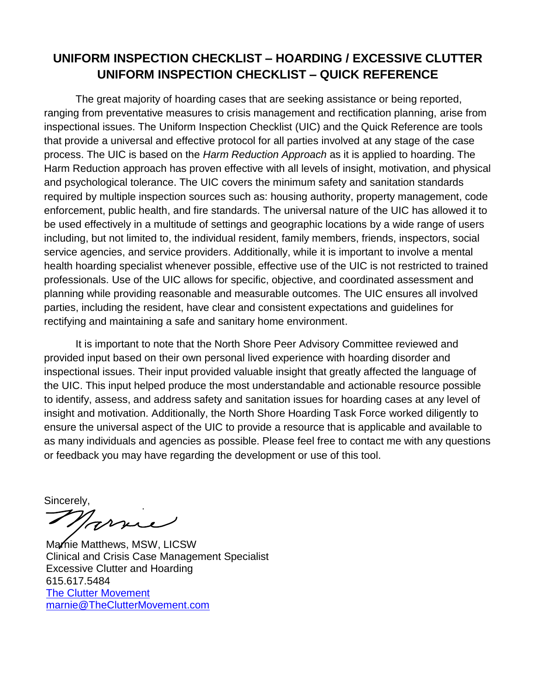## **UNIFORM INSPECTION CHECKLIST – HOARDING / EXCESSIVE CLUTTER UNIFORM INSPECTION CHECKLIST – QUICK REFERENCE**

The great majority of hoarding cases that are seeking assistance or being reported, ranging from preventative measures to crisis management and rectification planning, arise from inspectional issues. The Uniform Inspection Checklist (UIC) and the Quick Reference are tools that provide a universal and effective protocol for all parties involved at any stage of the case process. The UIC is based on the *Harm Reduction Approach* as it is applied to hoarding. The Harm Reduction approach has proven effective with all levels of insight, motivation, and physical and psychological tolerance. The UIC covers the minimum safety and sanitation standards required by multiple inspection sources such as: housing authority, property management, code enforcement, public health, and fire standards. The universal nature of the UIC has allowed it to be used effectively in a multitude of settings and geographic locations by a wide range of users including, but not limited to, the individual resident, family members, friends, inspectors, social service agencies, and service providers. Additionally, while it is important to involve a mental health hoarding specialist whenever possible, effective use of the UIC is not restricted to trained professionals. Use of the UIC allows for specific, objective, and coordinated assessment and planning while providing reasonable and measurable outcomes. The UIC ensures all involved parties, including the resident, have clear and consistent expectations and guidelines for rectifying and maintaining a safe and sanitary home environment.

It is important to note that the North Shore Peer Advisory Committee reviewed and provided input based on their own personal lived experience with hoarding disorder and inspectional issues. Their input provided valuable insight that greatly affected the language of the UIC. This input helped produce the most understandable and actionable resource possible to identify, assess, and address safety and sanitation issues for hoarding cases at any level of insight and motivation. Additionally, the North Shore Hoarding Task Force worked diligently to ensure the universal aspect of the UIC to provide a resource that is applicable and available to as many individuals and agencies as possible. Please feel free to contact me with any questions or feedback you may have regarding the development or use of this tool.

Sincerely,

Marrie

Marnie Matthews, MSW, LICSW Clinical and Crisis Case Management Specialist Excessive Clutter and Hoarding 615.617.5484 [The Clutter Movement](http://www.thecluttermovement.com/) [marnie@TheClutterMovement.com](mailto:marnie@thecluttermovement.com?subject=Uniform%20Inspection%20Checklist%20)